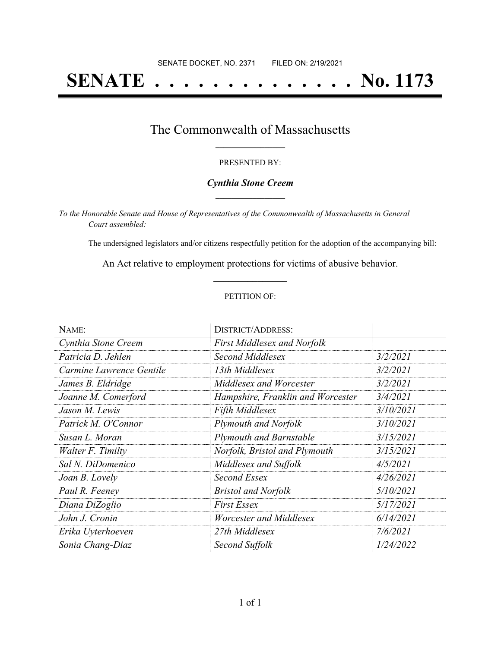# **SENATE . . . . . . . . . . . . . . No. 1173**

## The Commonwealth of Massachusetts **\_\_\_\_\_\_\_\_\_\_\_\_\_\_\_\_\_**

### PRESENTED BY:

### *Cynthia Stone Creem* **\_\_\_\_\_\_\_\_\_\_\_\_\_\_\_\_\_**

*To the Honorable Senate and House of Representatives of the Commonwealth of Massachusetts in General Court assembled:*

The undersigned legislators and/or citizens respectfully petition for the adoption of the accompanying bill:

An Act relative to employment protections for victims of abusive behavior. **\_\_\_\_\_\_\_\_\_\_\_\_\_\_\_**

### PETITION OF:

| NAME:                    | <b>DISTRICT/ADDRESS:</b>           |           |
|--------------------------|------------------------------------|-----------|
| Cynthia Stone Creem      | <b>First Middlesex and Norfolk</b> |           |
| Patricia D. Jehlen       | Second Middlesex                   | 3/2/2021  |
| Carmine Lawrence Gentile | 13th Middlesex                     | 3/2/2021  |
| James B. Eldridge        | Middlesex and Worcester            | 3/2/2021  |
| Joanne M. Comerford      | Hampshire, Franklin and Worcester  | 3/4/2021  |
| Jason M. Lewis           | <b>Fifth Middlesex</b>             | 3/10/2021 |
| Patrick M. O'Connor      | Plymouth and Norfolk               | 3/10/2021 |
| Susan L. Moran           | <b>Plymouth and Barnstable</b>     | 3/15/2021 |
| Walter F. Timilty        | Norfolk, Bristol and Plymouth      | 3/15/2021 |
| Sal N. DiDomenico        | Middlesex and Suffolk              | 4/5/2021  |
| Joan B. Lovely           | Second Essex                       | 4/26/2021 |
| Paul R. Feeney           | <b>Bristol and Norfolk</b>         | 5/10/2021 |
| Diana DiZoglio           | <b>First Essex</b>                 | 5/17/2021 |
| John J. Cronin           | Worcester and Middlesex            | 6/14/2021 |
| Erika Uyterhoeven        | 27th Middlesex                     | 7/6/2021  |
| Sonia Chang-Diaz         | Second Suffolk                     | 1/24/2022 |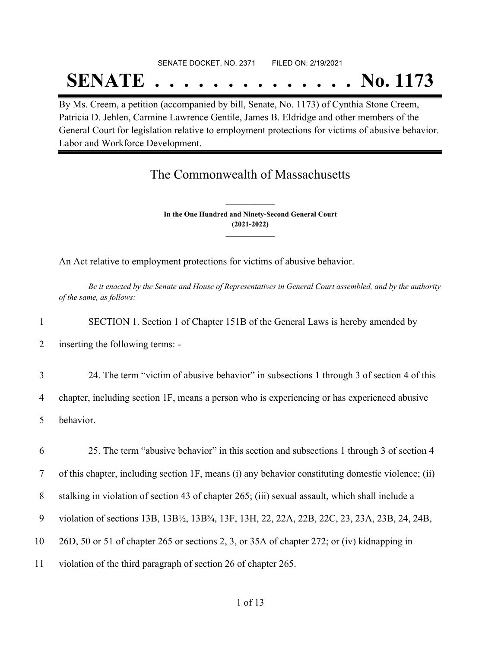# SENATE DOCKET, NO. 2371 FILED ON: 2/19/2021

# **SENATE . . . . . . . . . . . . . . No. 1173**

By Ms. Creem, a petition (accompanied by bill, Senate, No. 1173) of Cynthia Stone Creem, Patricia D. Jehlen, Carmine Lawrence Gentile, James B. Eldridge and other members of the General Court for legislation relative to employment protections for victims of abusive behavior. Labor and Workforce Development.

## The Commonwealth of Massachusetts

**In the One Hundred and Ninety-Second General Court (2021-2022) \_\_\_\_\_\_\_\_\_\_\_\_\_\_\_**

**\_\_\_\_\_\_\_\_\_\_\_\_\_\_\_**

An Act relative to employment protections for victims of abusive behavior.

Be it enacted by the Senate and House of Representatives in General Court assembled, and by the authority *of the same, as follows:*

1 SECTION 1. Section 1 of Chapter 151B of the General Laws is hereby amended by

2 inserting the following terms: -

3 24. The term "victim of abusive behavior" in subsections 1 through 3 of section 4 of this

4 chapter, including section 1F, means a person who is experiencing or has experienced abusive

5 behavior.

 25. The term "abusive behavior" in this section and subsections 1 through 3 of section 4 of this chapter, including section 1F, means (i) any behavior constituting domestic violence; (ii) stalking in violation of section 43 of chapter 265; (iii) sexual assault, which shall include a violation of sections 13B, 13B½, 13B¾, 13F, 13H, 22, 22A, 22B, 22C, 23, 23A, 23B, 24, 24B, 26D, 50 or 51 of chapter 265 or sections 2, 3, or 35A of chapter 272; or (iv) kidnapping in violation of the third paragraph of section 26 of chapter 265.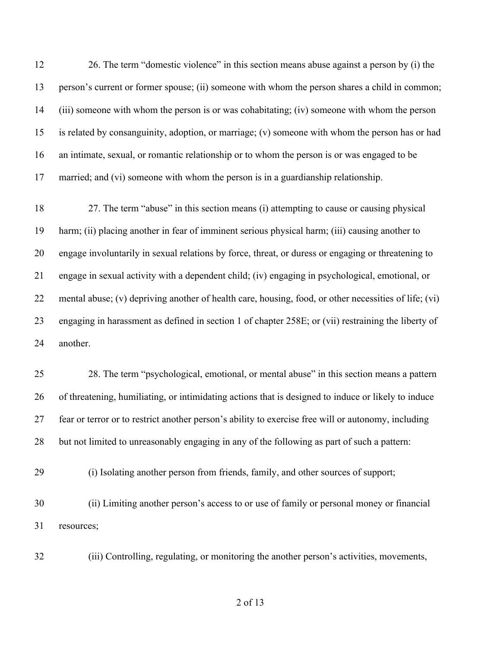26. The term "domestic violence" in this section means abuse against a person by (i) the person's current or former spouse; (ii) someone with whom the person shares a child in common; (iii) someone with whom the person is or was cohabitating; (iv) someone with whom the person is related by consanguinity, adoption, or marriage; (v) someone with whom the person has or had an intimate, sexual, or romantic relationship or to whom the person is or was engaged to be married; and (vi) someone with whom the person is in a guardianship relationship.

 27. The term "abuse" in this section means (i) attempting to cause or causing physical harm; (ii) placing another in fear of imminent serious physical harm; (iii) causing another to engage involuntarily in sexual relations by force, threat, or duress or engaging or threatening to engage in sexual activity with a dependent child; (iv) engaging in psychological, emotional, or mental abuse; (v) depriving another of health care, housing, food, or other necessities of life; (vi) engaging in harassment as defined in section 1 of chapter 258E; or (vii) restraining the liberty of another.

 28. The term "psychological, emotional, or mental abuse" in this section means a pattern of threatening, humiliating, or intimidating actions that is designed to induce or likely to induce fear or terror or to restrict another person's ability to exercise free will or autonomy, including but not limited to unreasonably engaging in any of the following as part of such a pattern:

(i) Isolating another person from friends, family, and other sources of support;

 (ii) Limiting another person's access to or use of family or personal money or financial resources;

(iii) Controlling, regulating, or monitoring the another person's activities, movements,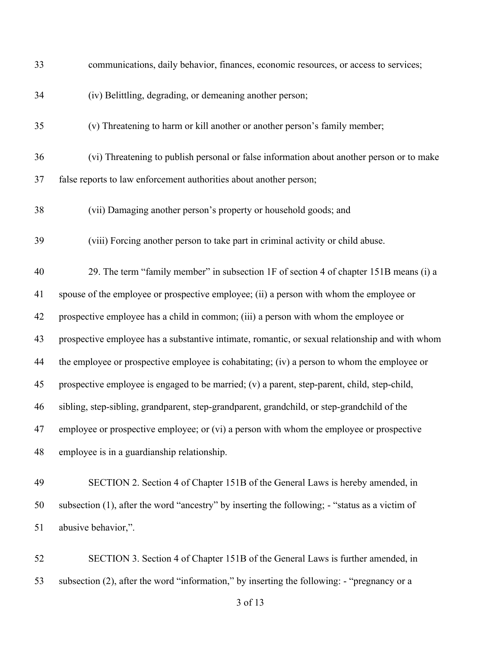| 33 | communications, daily behavior, finances, economic resources, or access to services;            |
|----|-------------------------------------------------------------------------------------------------|
| 34 | (iv) Belittling, degrading, or demeaning another person;                                        |
| 35 | (v) Threatening to harm or kill another or another person's family member;                      |
| 36 | (vi) Threatening to publish personal or false information about another person or to make       |
| 37 | false reports to law enforcement authorities about another person;                              |
| 38 | (vii) Damaging another person's property or household goods; and                                |
| 39 | (viii) Forcing another person to take part in criminal activity or child abuse.                 |
| 40 | 29. The term "family member" in subsection 1F of section 4 of chapter 151B means (i) a          |
| 41 | spouse of the employee or prospective employee; (ii) a person with whom the employee or         |
| 42 | prospective employee has a child in common; (iii) a person with whom the employee or            |
| 43 | prospective employee has a substantive intimate, romantic, or sexual relationship and with whom |
| 44 | the employee or prospective employee is cohabitating; (iv) a person to whom the employee or     |
| 45 | prospective employee is engaged to be married; (v) a parent, step-parent, child, step-child,    |
| 46 | sibling, step-sibling, grandparent, step-grandparent, grandchild, or step-grandchild of the     |
| 47 | employee or prospective employee; or (vi) a person with whom the employee or prospective        |
| 48 | employee is in a guardianship relationship.                                                     |
| 49 | SECTION 2. Section 4 of Chapter 151B of the General Laws is hereby amended, in                  |
| 50 | subsection (1), after the word "ancestry" by inserting the following; - "status as a victim of  |
| 51 | abusive behavior,".                                                                             |
| 52 | SECTION 3. Section 4 of Chapter 151B of the General Laws is further amended, in                 |
| 53 | subsection (2), after the word "information," by inserting the following: - "pregnancy or a     |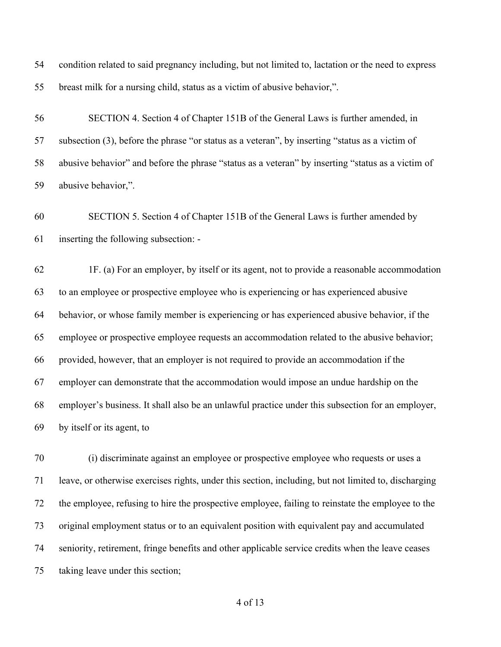condition related to said pregnancy including, but not limited to, lactation or the need to express breast milk for a nursing child, status as a victim of abusive behavior,".

 SECTION 4. Section 4 of Chapter 151B of the General Laws is further amended, in subsection (3), before the phrase "or status as a veteran", by inserting "status as a victim of abusive behavior" and before the phrase "status as a veteran" by inserting "status as a victim of abusive behavior,".

 SECTION 5. Section 4 of Chapter 151B of the General Laws is further amended by inserting the following subsection: -

 1F. (a) For an employer, by itself or its agent, not to provide a reasonable accommodation to an employee or prospective employee who is experiencing or has experienced abusive behavior, or whose family member is experiencing or has experienced abusive behavior, if the employee or prospective employee requests an accommodation related to the abusive behavior; provided, however, that an employer is not required to provide an accommodation if the employer can demonstrate that the accommodation would impose an undue hardship on the employer's business. It shall also be an unlawful practice under this subsection for an employer, by itself or its agent, to

 (i) discriminate against an employee or prospective employee who requests or uses a leave, or otherwise exercises rights, under this section, including, but not limited to, discharging the employee, refusing to hire the prospective employee, failing to reinstate the employee to the original employment status or to an equivalent position with equivalent pay and accumulated seniority, retirement, fringe benefits and other applicable service credits when the leave ceases taking leave under this section;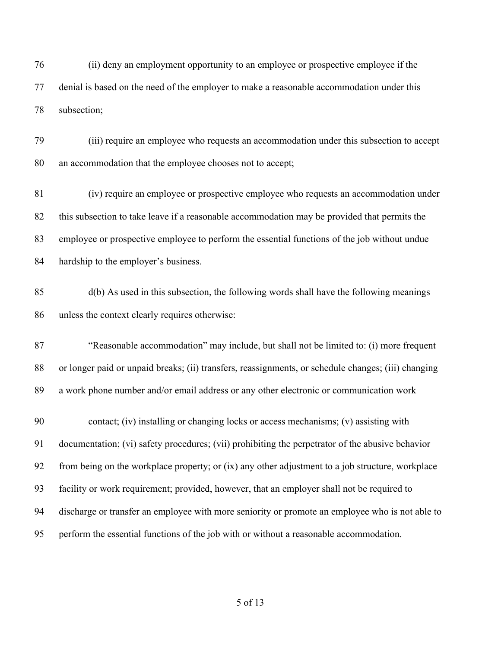(ii) deny an employment opportunity to an employee or prospective employee if the denial is based on the need of the employer to make a reasonable accommodation under this subsection;

 (iii) require an employee who requests an accommodation under this subsection to accept an accommodation that the employee chooses not to accept;

 (iv) require an employee or prospective employee who requests an accommodation under this subsection to take leave if a reasonable accommodation may be provided that permits the employee or prospective employee to perform the essential functions of the job without undue hardship to the employer's business.

 d(b) As used in this subsection, the following words shall have the following meanings unless the context clearly requires otherwise:

 "Reasonable accommodation" may include, but shall not be limited to: (i) more frequent or longer paid or unpaid breaks; (ii) transfers, reassignments, or schedule changes; (iii) changing a work phone number and/or email address or any other electronic or communication work

 contact; (iv) installing or changing locks or access mechanisms; (v) assisting with documentation; (vi) safety procedures; (vii) prohibiting the perpetrator of the abusive behavior from being on the workplace property; or (ix) any other adjustment to a job structure, workplace facility or work requirement; provided, however, that an employer shall not be required to discharge or transfer an employee with more seniority or promote an employee who is not able to perform the essential functions of the job with or without a reasonable accommodation.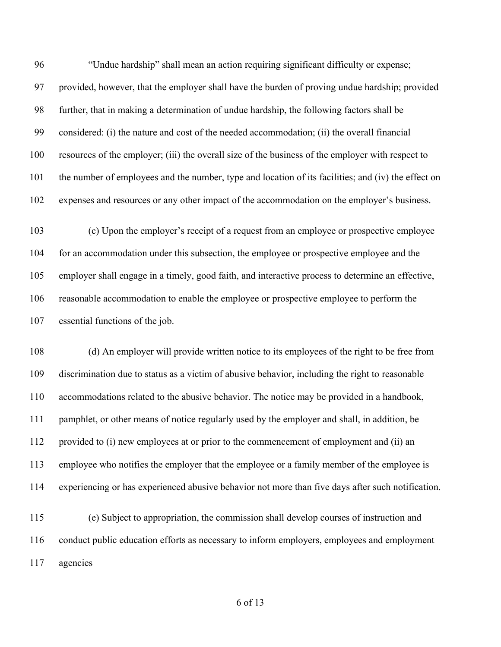"Undue hardship" shall mean an action requiring significant difficulty or expense; provided, however, that the employer shall have the burden of proving undue hardship; provided further, that in making a determination of undue hardship, the following factors shall be considered: (i) the nature and cost of the needed accommodation; (ii) the overall financial resources of the employer; (iii) the overall size of the business of the employer with respect to the number of employees and the number, type and location of its facilities; and (iv) the effect on expenses and resources or any other impact of the accommodation on the employer's business.

 (c) Upon the employer's receipt of a request from an employee or prospective employee for an accommodation under this subsection, the employee or prospective employee and the employer shall engage in a timely, good faith, and interactive process to determine an effective, reasonable accommodation to enable the employee or prospective employee to perform the essential functions of the job.

 (d) An employer will provide written notice to its employees of the right to be free from discrimination due to status as a victim of abusive behavior, including the right to reasonable accommodations related to the abusive behavior. The notice may be provided in a handbook, pamphlet, or other means of notice regularly used by the employer and shall, in addition, be provided to (i) new employees at or prior to the commencement of employment and (ii) an employee who notifies the employer that the employee or a family member of the employee is experiencing or has experienced abusive behavior not more than five days after such notification.

 (e) Subject to appropriation, the commission shall develop courses of instruction and conduct public education efforts as necessary to inform employers, employees and employment agencies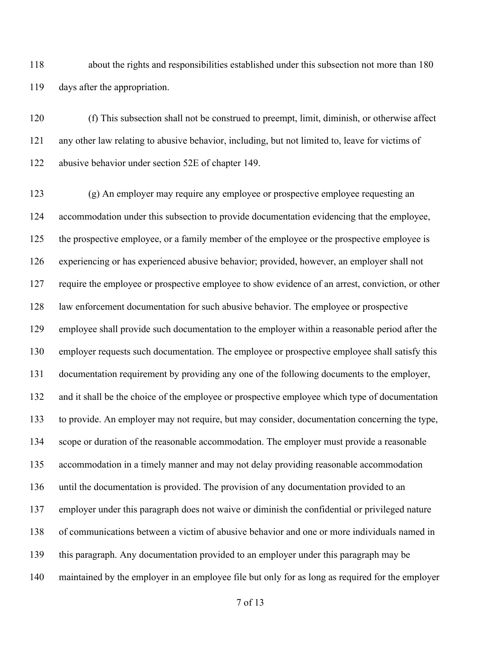about the rights and responsibilities established under this subsection not more than 180 days after the appropriation.

 (f) This subsection shall not be construed to preempt, limit, diminish, or otherwise affect any other law relating to abusive behavior, including, but not limited to, leave for victims of abusive behavior under section 52E of chapter 149.

 (g) An employer may require any employee or prospective employee requesting an accommodation under this subsection to provide documentation evidencing that the employee, the prospective employee, or a family member of the employee or the prospective employee is experiencing or has experienced abusive behavior; provided, however, an employer shall not require the employee or prospective employee to show evidence of an arrest, conviction, or other law enforcement documentation for such abusive behavior. The employee or prospective employee shall provide such documentation to the employer within a reasonable period after the employer requests such documentation. The employee or prospective employee shall satisfy this documentation requirement by providing any one of the following documents to the employer, and it shall be the choice of the employee or prospective employee which type of documentation to provide. An employer may not require, but may consider, documentation concerning the type, scope or duration of the reasonable accommodation. The employer must provide a reasonable accommodation in a timely manner and may not delay providing reasonable accommodation until the documentation is provided. The provision of any documentation provided to an employer under this paragraph does not waive or diminish the confidential or privileged nature of communications between a victim of abusive behavior and one or more individuals named in this paragraph. Any documentation provided to an employer under this paragraph may be maintained by the employer in an employee file but only for as long as required for the employer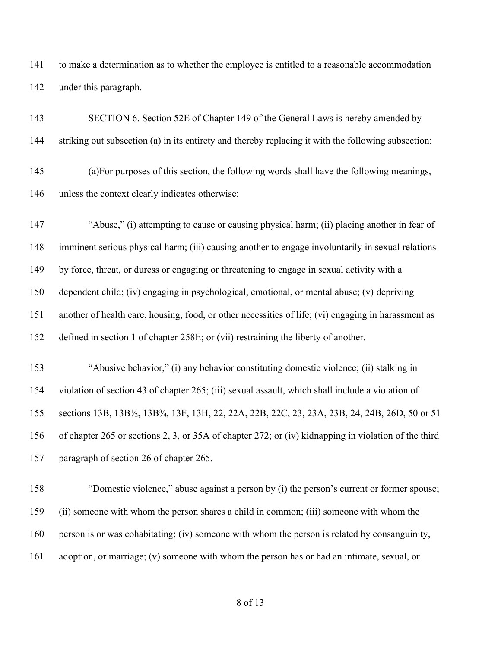to make a determination as to whether the employee is entitled to a reasonable accommodation under this paragraph.

 SECTION 6. Section 52E of Chapter 149 of the General Laws is hereby amended by striking out subsection (a) in its entirety and thereby replacing it with the following subsection: (a)For purposes of this section, the following words shall have the following meanings, unless the context clearly indicates otherwise: "Abuse," (i) attempting to cause or causing physical harm; (ii) placing another in fear of imminent serious physical harm; (iii) causing another to engage involuntarily in sexual relations by force, threat, or duress or engaging or threatening to engage in sexual activity with a dependent child; (iv) engaging in psychological, emotional, or mental abuse; (v) depriving another of health care, housing, food, or other necessities of life; (vi) engaging in harassment as defined in section 1 of chapter 258E; or (vii) restraining the liberty of another. "Abusive behavior," (i) any behavior constituting domestic violence; (ii) stalking in violation of section 43 of chapter 265; (iii) sexual assault, which shall include a violation of sections 13B, 13B½, 13B¾, 13F, 13H, 22, 22A, 22B, 22C, 23, 23A, 23B, 24, 24B, 26D, 50 or 51 of chapter 265 or sections 2, 3, or 35A of chapter 272; or (iv) kidnapping in violation of the third paragraph of section 26 of chapter 265. "Domestic violence," abuse against a person by (i) the person's current or former spouse;

(ii) someone with whom the person shares a child in common; (iii) someone with whom the

- person is or was cohabitating; (iv) someone with whom the person is related by consanguinity,
- adoption, or marriage; (v) someone with whom the person has or had an intimate, sexual, or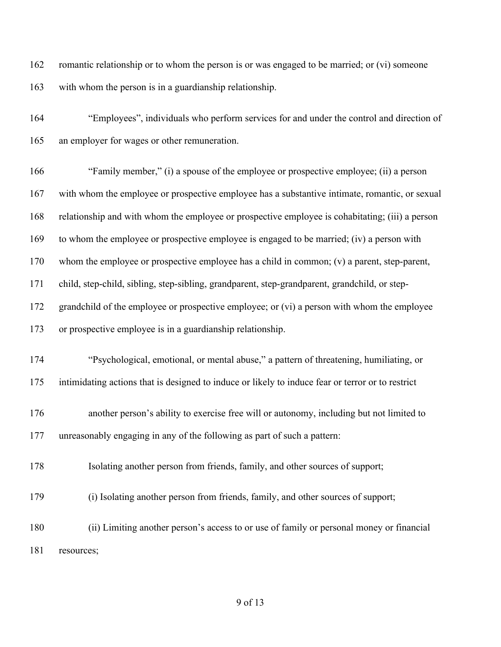romantic relationship or to whom the person is or was engaged to be married; or (vi) someone with whom the person is in a guardianship relationship.

 "Employees", individuals who perform services for and under the control and direction of an employer for wages or other remuneration.

 "Family member," (i) a spouse of the employee or prospective employee; (ii) a person with whom the employee or prospective employee has a substantive intimate, romantic, or sexual relationship and with whom the employee or prospective employee is cohabitating; (iii) a person to whom the employee or prospective employee is engaged to be married; (iv) a person with whom the employee or prospective employee has a child in common; (v) a parent, step-parent, child, step-child, sibling, step-sibling, grandparent, step-grandparent, grandchild, or step-172 grandchild of the employee or prospective employee; or (vi) a person with whom the employee or prospective employee is in a guardianship relationship. "Psychological, emotional, or mental abuse," a pattern of threatening, humiliating, or intimidating actions that is designed to induce or likely to induce fear or terror or to restrict another person's ability to exercise free will or autonomy, including but not limited to unreasonably engaging in any of the following as part of such a pattern: Isolating another person from friends, family, and other sources of support; (i) Isolating another person from friends, family, and other sources of support; (ii) Limiting another person's access to or use of family or personal money or financial resources;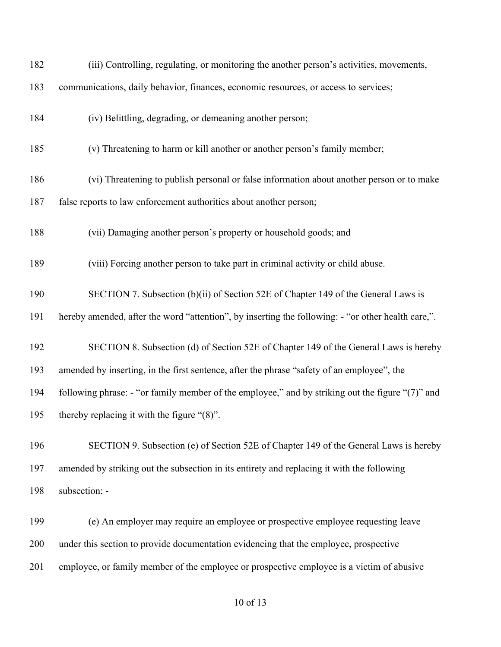| 182 | (iii) Controlling, regulating, or monitoring the another person's activities, movements,           |
|-----|----------------------------------------------------------------------------------------------------|
| 183 | communications, daily behavior, finances, economic resources, or access to services;               |
| 184 | (iv) Belittling, degrading, or demeaning another person;                                           |
| 185 | (v) Threatening to harm or kill another or another person's family member;                         |
| 186 | (vi) Threatening to publish personal or false information about another person or to make          |
| 187 | false reports to law enforcement authorities about another person;                                 |
| 188 | (vii) Damaging another person's property or household goods; and                                   |
| 189 | (viii) Forcing another person to take part in criminal activity or child abuse.                    |
| 190 | SECTION 7. Subsection (b)(ii) of Section 52E of Chapter 149 of the General Laws is                 |
| 191 | hereby amended, after the word "attention", by inserting the following: - "or other health care,". |
| 192 | SECTION 8. Subsection (d) of Section 52E of Chapter 149 of the General Laws is hereby              |
| 193 | amended by inserting, in the first sentence, after the phrase "safety of an employee", the         |
| 194 | following phrase: - "or family member of the employee," and by striking out the figure "(7)" and   |
| 195 | thereby replacing it with the figure " $(8)$ ".                                                    |
| 196 | SECTION 9. Subsection (e) of Section 52E of Chapter 149 of the General Laws is hereby              |
| 197 | amended by striking out the subsection in its entirety and replacing it with the following         |
| 198 | subsection: -                                                                                      |
| 199 | (e) An employer may require an employee or prospective employee requesting leave                   |
| 200 | under this section to provide documentation evidencing that the employee, prospective              |
| 201 | employee, or family member of the employee or prospective employee is a victim of abusive          |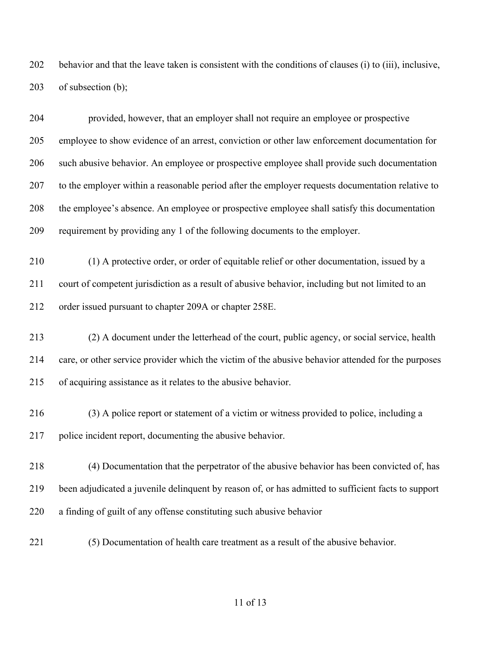behavior and that the leave taken is consistent with the conditions of clauses (i) to (iii), inclusive, of subsection (b);

 provided, however, that an employer shall not require an employee or prospective employee to show evidence of an arrest, conviction or other law enforcement documentation for such abusive behavior. An employee or prospective employee shall provide such documentation to the employer within a reasonable period after the employer requests documentation relative to the employee's absence. An employee or prospective employee shall satisfy this documentation requirement by providing any 1 of the following documents to the employer.

 (1) A protective order, or order of equitable relief or other documentation, issued by a court of competent jurisdiction as a result of abusive behavior, including but not limited to an order issued pursuant to chapter 209A or chapter 258E.

 (2) A document under the letterhead of the court, public agency, or social service, health care, or other service provider which the victim of the abusive behavior attended for the purposes of acquiring assistance as it relates to the abusive behavior.

 (3) A police report or statement of a victim or witness provided to police, including a police incident report, documenting the abusive behavior.

 (4) Documentation that the perpetrator of the abusive behavior has been convicted of, has been adjudicated a juvenile delinquent by reason of, or has admitted to sufficient facts to support a finding of guilt of any offense constituting such abusive behavior

(5) Documentation of health care treatment as a result of the abusive behavior.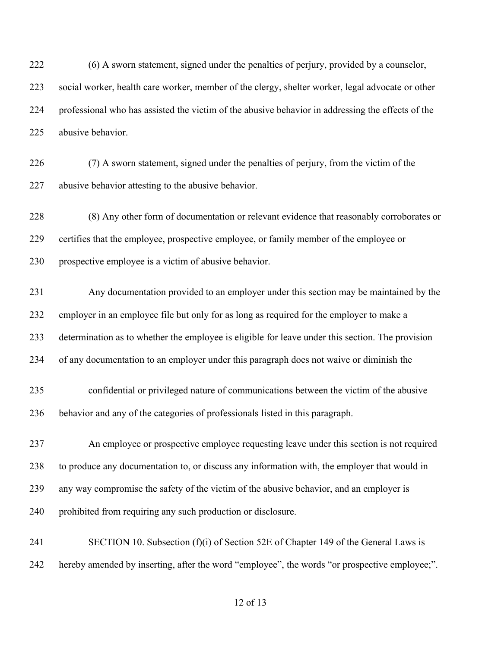(6) A sworn statement, signed under the penalties of perjury, provided by a counselor, social worker, health care worker, member of the clergy, shelter worker, legal advocate or other professional who has assisted the victim of the abusive behavior in addressing the effects of the abusive behavior.

 (7) A sworn statement, signed under the penalties of perjury, from the victim of the abusive behavior attesting to the abusive behavior.

 (8) Any other form of documentation or relevant evidence that reasonably corroborates or certifies that the employee, prospective employee, or family member of the employee or prospective employee is a victim of abusive behavior.

 Any documentation provided to an employer under this section may be maintained by the employer in an employee file but only for as long as required for the employer to make a determination as to whether the employee is eligible for leave under this section. The provision of any documentation to an employer under this paragraph does not waive or diminish the

 confidential or privileged nature of communications between the victim of the abusive behavior and any of the categories of professionals listed in this paragraph.

 An employee or prospective employee requesting leave under this section is not required to produce any documentation to, or discuss any information with, the employer that would in any way compromise the safety of the victim of the abusive behavior, and an employer is prohibited from requiring any such production or disclosure.

 SECTION 10. Subsection (f)(i) of Section 52E of Chapter 149 of the General Laws is hereby amended by inserting, after the word "employee", the words "or prospective employee;".